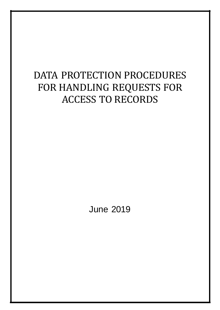## DATA PROTECTION PROCEDURES FOR HANDLING REQUESTS FOR ACCESS TO RECORDS

June 2019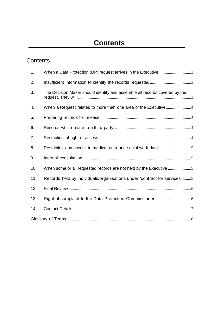## **Contents**

### **Contents**

| 1.  | When a Data Protection (DP) request arrives in the Executive3              |  |
|-----|----------------------------------------------------------------------------|--|
| 2.  |                                                                            |  |
| 3.  | The Decision Maker should identify and assemble all records covered by the |  |
| 4.  |                                                                            |  |
| 5.  |                                                                            |  |
| 6.  |                                                                            |  |
| 7.  |                                                                            |  |
| 8.  |                                                                            |  |
| 9.  |                                                                            |  |
| 10. | When some or all requested records are not held by the Executive 5         |  |
| 11. | Records held by individuals/organisations under 'contract for services'5   |  |
| 12. |                                                                            |  |
| 13. |                                                                            |  |
| 14. |                                                                            |  |
|     |                                                                            |  |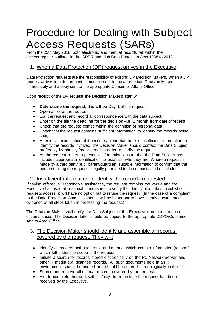# Procedure for Dealing with Subject Access Requests (SARs)

From the 25th May 2018, both electronic and manual records fall within the access regime outlined in the GDPR and Irish Data Protection Acts 1988 to 2018

#### <span id="page-2-0"></span>1. When a Data Protection (DP) request arrives in the Executive

Data Protection requests are the responsibility of existing DP Decision Makers. When a DP request arrives in a department, it must be sent to the appropriate Decision Maker immediately and a copy sent to the appropriate Consumer Affairs Office.

Upon receipt of the DP request the Decision Maker's staff will:

- **Date stamp the request**; this will be Day 1 of the request.
- Open a file for the request.
- Log the request and record all correspondence with the data subject.
- Enter on the file the deadline for the decision -i.e. 1 month from date of receipt.
- Check that the request comes within the definition of personal data.
- Check that the request contains sufficient information to identify the records being sought.
- After initial examination, if it becomes clear that there is insufficient information to identify the records involved, the Decision Maker should contact the Data Subject, preferably by phone, fax or e-mail in order to clarify the request.
- As the request refers to personal information ensure that the Data Subject has included appropriate identification to establish who they are. Where a request is made by a third party (e.g. parent/guardian) suitable information to confirm that the person making the request is legally permitted to do so must also be included

#### <span id="page-2-1"></span>2. Insufficient information to identify the records requested

If having offered all reasonable assistance, the request remains too vague and the Executive has used all reasonable measures to verify the identity of a data subject who requests access, it will have no option but to refuse the request. (In the case of a complaint to the Data Protection Commissioner, it will be important to have clearly documented evidence of all steps taken in processing the request.)

The Decision Maker shall notify the Data Subject of the Executive's decision in such circumstances. The Decision letter should be copied to the appropriate DDPO/Consumer Affairs Area Office.

#### <span id="page-2-2"></span>3. The Decision Maker should identify and assemble all records covered by the request. They will:

- Identify all records both electronic and manual which contain information (records) which fall under the scope of the request.
- Initiate a search for records stored electronically on the PC Network/Server and other IT media e.g. scanned records. All such documents held in an IT environment should be printed and should be entered chronologically in the file.
- Source and retrieve all manual records covered by the request.
- Aim to complete this work within 7 days from the time the request has been received by the Executive.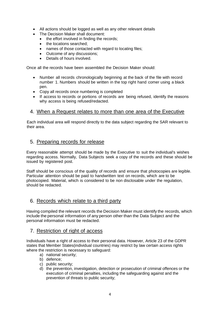- All actions should be logged as well as any other relevant details
- The Decision Maker shall document:
	- the effort involved in finding the records;
	- the locations searched;
	- names of those contacted with regard to locating files;
	- Outcome of any discussions:
	- Details of hours involved.

Once all the records have been assembled the Decision Maker should:

- Number all records chronologically beginning at the back of the file with record number 1. Numbers should be written in the top right hand comer using a black pen.
- Copy all records once numbering is completed
- If access to records or portions of records are being refused, identify the reasons why access is being refused/redacted.

#### <span id="page-3-0"></span>4. When a Request relates to more than one area of the Executive

Each individual area will respond directly to the data subject regarding the SAR relevant to their area.

#### <span id="page-3-1"></span>5. Preparing records for release

Every reasonable attempt should be made by the Executive to suit the individual's wishes regarding access. Normally, Data Subjects seek a copy of the records and these should be issued by registered post.

Staff should be conscious of the quality of records and ensure that photocopies are legible. Particular attention should be paid to handwritten text on records, which are to be photocopied. Material, which is considered to be non disclosable under the regulation, should be redacted.

#### <span id="page-3-2"></span>6. Records which relate to a third party

Having compiled the relevant records the Decision Maker must identify the records, which include the personal information of any person other than the Data Subject and the personal information must be redacted.

#### <span id="page-3-3"></span>7. Restriction of right of access

Individuals have a right of access to their personal data. However, Article 23 of the GDPR states that Member States(individual countries) may restrict by law certain access rights where the restriction is necessary to safeguard:

- a) national security;
- b) defence;
- c) public security;
- d) the prevention, investigation, detection or prosecution of criminal offences or the execution of criminal penalties, including the safeguarding against and the prevention of threats to public security;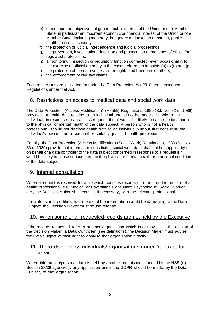- e) other important objectives of general public interest of the Union or of a Member State, in particular an important economic or financial interest of the Union or of a Member State, including monetary, budgetary and taxation a matters, public health and social security;
- f) the protection of judicial independence and judicial proceedings;
- g) the prevention, investigation, detection and prosecution of breaches of ethics for regulated professions;
- h) a monitoring, inspection or regulatory function connected, even occasionally, to the exercise of official authority in the cases referred to in points (a) to (e) and (g);
- i) the protection of the data subject or the rights and freedoms of others;
- j) the enforcement of civil law claims.

Such restrictions are legislated for under the Data Protection Act 2018 and subsequent Regulations under that Act.

#### <span id="page-4-0"></span>8. Restrictions on access to medical data and social work data

The Data Protection (Access Modification) (Health) Regulations, 1989 (S.I. No. 82 of 1989) provide that health data relating to an individual should not be made available to the individual, in response to an access request, if that would be likely to cause serious harm to the physical or mental health of the data subject. A person who is not a health professional should not disclose health data to an individual without first consulting the individual's own doctor or some other suitably qualified health professional.

Equally, the Data Protection (Access Modification) (Social Work) Regulations, 1989 (S.I. No. 83 of 1989) provide that information constituting social work data shall not be supplied by or on behalf of a data controller to the data subject concerned in response to a request if it would be likely to cause serious harm to the physical or mental health or emotional condition of the data subject.

#### <span id="page-4-1"></span>9. Internal consultation

When a request is received for a file which contains records of a client under the care of a health professional e.g. Medical or Psychiatric Consultant, Psychologist, Social Worker etc., the Decision Maker shall consult, if necessary, with the relevant professional.

If a professional certifies that release of the information would be damaging to the Data Subject, the Decision Maker must refuse release.

#### <span id="page-4-2"></span>10. When some or all requested records are not held by the Executive

If the records requested refer to another organisation which is or may be, in the opinion of the Decision Maker, a Data Controller (see definitions), the Decision Maker must advise the Data Subject of their right to apply to that organisation directly.

#### <span id="page-4-3"></span>11. Records held by individuals/organisations under 'contract for services'

Where information/personal data is held by another organisation funded by the HSE (e.g. Section 38/39 agencies), any application under the GDPR should be made, by the Data Subject, to that organisation.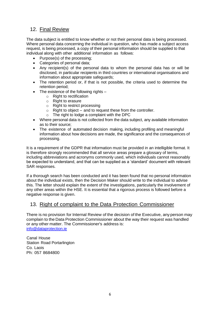#### <span id="page-5-0"></span>12. Final Review

The data subject is entitled to know whether or not their personal data is being processed. Where personal data concerning the individual in question, who has made a subject access request, is being processed, a copy of their personal information should be supplied to that individual along with other additional information as follows:

- Purpose(s) of the processing;
- Categories of personal data:
- Any recipient(s) of the personal data to whom the personal data has or will be disclosed, in particular recipients in third countries or international organisations and information about appropriate safeguards;
- The retention period or, if that is not possible, the criteria used to determine the retention period;
- The existence of the following rights
	- o Right to rectification
	- o Right to erasure
	- o Right to restrict processing
	- $\circ$  Right to object and to request these from the controller.
	- o The right to lodge a complaint with the DPC
- Where personal data is not collected from the data subject, any available information as to their source;
- The existence of automated decision making, including profiling and meaningful information about how decisions are made, the significance and the consequences of processing.

It is a requirement of the GDPR that information must be provided in an intelligible format. It is therefore strongly recommended that all service areas prepare a glossary of terms, including abbreviations and acronyms commonly used, which individuals cannot reasonably be expected to understand, and that can be supplied as a 'standard' document with relevant SAR responses.

If a thorough search has been conducted and it has been found that no personal information about the individual exists, then the Decision Maker should write to the individual to advise this. The letter should explain the extent of the investigations, particularly the involvement of any other areas within the HSE. It is essential that a rigorous process is followed before a negative response is given.

#### <span id="page-5-1"></span>13. Right of complaint to the Data Protection Commissioner

There is no provision for Internal Review of the decision of the Executive, any person may complain to the Data Protection Commissioner about the way their request was handled or any other matter. The Commissioner's address is: [info@dataprotection.ie](mailto:info@dataprotection.ie)

Canal House Station Road Portarlington Co. Laois Ph: 057 8684800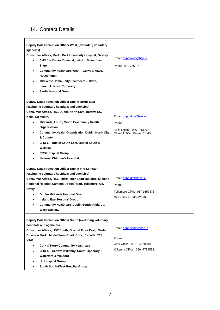### <span id="page-6-0"></span>14. Contact Details

| Deputy Data Protection Officer West, (excluding voluntary<br>agencies)<br>Consumer Affairs, Merlin Park University Hospital, Galway.<br>CHO 1 - Cavan, Donegal, Leitrim, Monaghan,<br>$\bullet$<br>Sligo<br>Community Healthcare West - Galway, Mayo,<br>$\bullet$<br><b>Roscommon</b><br>Mid-West Community Healthcare - Clare,<br>٠<br>Limerick, North Tipperary.<br><b>Saolta Hospital Group</b><br>٠                                                                | Email: ddpo.west@hse.ie<br>Phone: 091-775 373                                                      |
|-------------------------------------------------------------------------------------------------------------------------------------------------------------------------------------------------------------------------------------------------------------------------------------------------------------------------------------------------------------------------------------------------------------------------------------------------------------------------|----------------------------------------------------------------------------------------------------|
| Deputy Data Protection Officer Dublin North-East<br>(excluding voluntary hospitals and agencies)<br>Consumer Affairs, HSE Dublin North East, Bective St.,<br>Kells, Co Meath.<br>Midlands, Louth, Meath Community Health<br>٠<br>Organisation<br><b>Community Health Organisation Dublin North City</b><br>٠<br>& County<br>CHO 6 - Dublin South East, Dublin South &<br>٠<br>Wicklow<br><b>RCSI Hospital Group</b><br><b>National Children's Hospital</b><br>$\bullet$ | Email: ddpo.dne@hse.ie<br>Phone:<br>Kells Office: 046-9251265<br>Cavan Office: 049-4377343         |
| Deputy Data Protection Officer Dublin mid-Leinster<br>(excluding voluntary hospitals and agencies)<br>Consumer Affairs, HSE, Third Floor Scott Building, Midland<br>Regional Hospital Campus, Arden Road, Tullamore, Co.<br>Offaly.<br><b>Dublin Midlands Hospital Group</b><br>٠<br><b>Ireland East Hospital Group</b><br>Community Healthcare Dublin South, Kildare &<br>٠<br><b>West Wicklow</b>                                                                     | Email: ddpo.dml@hse.ie<br>Phone:<br>Tullamore Office: 057-9357876<br>Naas Office: 045-920105       |
| Deputy Data Protection Officer South (excluding voluntary<br>hospitals and agencies)<br>Consumer Affairs, HSE South, Ground Floor East, Model<br>Business Park, Model Farm Road, Cork. Eircode: T12<br><b>HT02</b><br><b>Cork &amp; Kerry Community Healthcare</b><br>CHO 5 - Carlow, Kilkenny, South Tipperary,<br>٠<br><b>Waterford &amp; Wexford</b><br><b>UL Hospital Group</b><br>South South-West Hospital Group                                                  | Email: ddpo.south@hse.ie<br>Phone:<br>Cork Office: 021 - 4928538<br>Kilkenny Office: 056 -7785598. |